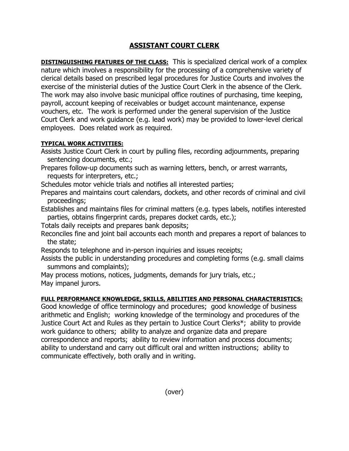## **ASSISTANT COURT CLERK**

**DISTINGUISHING FEATURES OF THE CLASS:** This is specialized clerical work of a complex nature which involves a responsibility for the processing of a comprehensive variety of clerical details based on prescribed legal procedures for Justice Courts and involves the exercise of the ministerial duties of the Justice Court Clerk in the absence of the Clerk. The work may also involve basic municipal office routines of purchasing, time keeping, payroll, account keeping of receivables or budget account maintenance, expense vouchers, etc. The work is performed under the general supervision of the Justice Court Clerk and work guidance (e.g. lead work) may be provided to lower-level clerical employees. Does related work as required.

## **TYPICAL WORK ACTIVITIES:**

Assists Justice Court Clerk in court by pulling files, recording adjournments, preparing sentencing documents, etc.;

Prepares follow-up documents such as warning letters, bench, or arrest warrants, requests for interpreters, etc.;

Schedules motor vehicle trials and notifies all interested parties;

Prepares and maintains court calendars, dockets, and other records of criminal and civil proceedings;

Establishes and maintains files for criminal matters (e.g. types labels, notifies interested parties, obtains fingerprint cards, prepares docket cards, etc.);

Totals daily receipts and prepares bank deposits;

Reconciles fine and joint bail accounts each month and prepares a report of balances to the state;

Responds to telephone and in-person inquiries and issues receipts;

Assists the public in understanding procedures and completing forms (e.g. small claims summons and complaints);

May process motions, notices, judgments, demands for jury trials, etc.; May impanel jurors.

## **FULL PERFORMANCE KNOWLEDGE, SKILLS, ABILITIES AND PERSONAL CHARACTERISTICS:**

Good knowledge of office terminology and procedures; good knowledge of business arithmetic and English; working knowledge of the terminology and procedures of the Justice Court Act and Rules as they pertain to Justice Court Clerks\*; ability to provide work guidance to others; ability to analyze and organize data and prepare correspondence and reports; ability to review information and process documents; ability to understand and carry out difficult oral and written instructions; ability to communicate effectively, both orally and in writing.